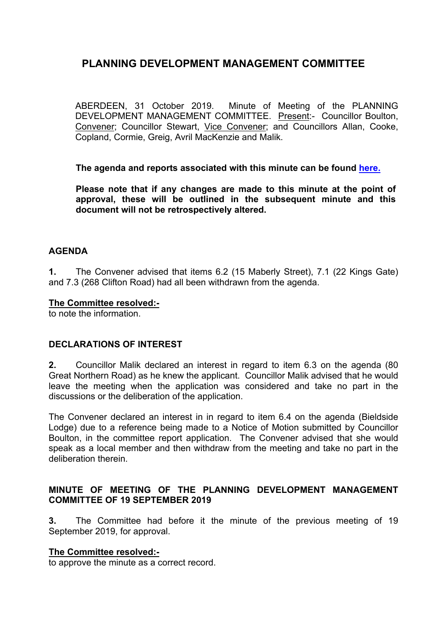ABERDEEN, 31 October 2019. Minute of Meeting of the PLANNING DEVELOPMENT MANAGEMENT COMMITTEE. Present:- Councillor Boulton, Convener; Councillor Stewart, Vice Convener; and Councillors Allan, Cooke, Copland, Cormie, Greig, Avril MacKenzie and Malik.

**The agenda and reports associated with this minute can be found [here.](https://committees.aberdeencity.gov.uk/ieListDocuments.aspx?CId=348&MId=6674&Ver=4)**

**Please note that if any changes are made to this minute at the point of approval, these will be outlined in the subsequent minute and this document will not be retrospectively altered.**

## **AGENDA**

**1.** The Convener advised that items 6.2 (15 Maberly Street), 7.1 (22 Kings Gate) and 7.3 (268 Clifton Road) had all been withdrawn from the agenda.

#### **The Committee resolved:-**

to note the information.

### **DECLARATIONS OF INTEREST**

**2.** Councillor Malik declared an interest in regard to item 6.3 on the agenda (80 Great Northern Road) as he knew the applicant. Councillor Malik advised that he would leave the meeting when the application was considered and take no part in the discussions or the deliberation of the application.

The Convener declared an interest in in regard to item 6.4 on the agenda (Bieldside Lodge) due to a reference being made to a Notice of Motion submitted by Councillor Boulton, in the committee report application. The Convener advised that she would speak as a local member and then withdraw from the meeting and take no part in the deliberation therein.

## **MINUTE OF MEETING OF THE PLANNING DEVELOPMENT MANAGEMENT COMMITTEE OF 19 SEPTEMBER 2019**

**3.** The Committee had before it the minute of the previous meeting of 19 September 2019, for approval.

### **The Committee resolved:-**

to approve the minute as a correct record.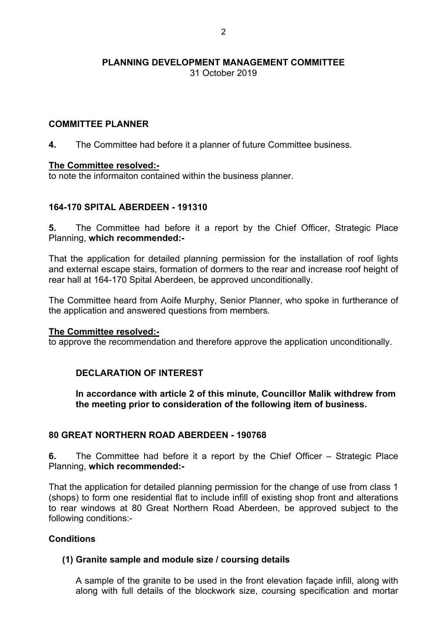31 October 2019

### **COMMITTEE PLANNER**

**4.** The Committee had before it a planner of future Committee business.

### **The Committee resolved:-**

to note the informaiton contained within the business planner.

## **164-170 SPITAL ABERDEEN - 191310**

**5.** The Committee had before it a report by the Chief Officer, Strategic Place Planning, **which recommended:-**

That the application for detailed planning permission for the installation of roof lights and external escape stairs, formation of dormers to the rear and increase roof height of rear hall at 164-170 Spital Aberdeen, be approved unconditionally.

The Committee heard from Aoife Murphy, Senior Planner, who spoke in furtherance of the application and answered questions from members.

#### **The Committee resolved:-**

to approve the recommendation and therefore approve the application unconditionally.

### **DECLARATION OF INTEREST**

**In accordance with article 2 of this minute, Councillor Malik withdrew from the meeting prior to consideration of the following item of business.**

### **80 GREAT NORTHERN ROAD ABERDEEN - 190768**

**6.** The Committee had before it a report by the Chief Officer – Strategic Place Planning, **which recommended:-**

That the application for detailed planning permission for the change of use from class 1 (shops) to form one residential flat to include infill of existing shop front and alterations to rear windows at 80 Great Northern Road Aberdeen, be approved subject to the following conditions:-

## **Conditions**

### **(1) Granite sample and module size / coursing details**

A sample of the granite to be used in the front elevation façade infill, along with along with full details of the blockwork size, coursing specification and mortar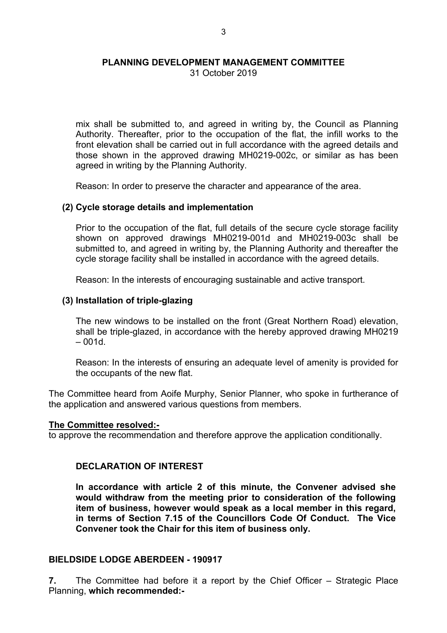31 October 2019

mix shall be submitted to, and agreed in writing by, the Council as Planning Authority. Thereafter, prior to the occupation of the flat, the infill works to the front elevation shall be carried out in full accordance with the agreed details and those shown in the approved drawing MH0219-002c, or similar as has been agreed in writing by the Planning Authority.

Reason: In order to preserve the character and appearance of the area.

### **(2) Cycle storage details and implementation**

Prior to the occupation of the flat, full details of the secure cycle storage facility shown on approved drawings MH0219-001d and MH0219-003c shall be submitted to, and agreed in writing by, the Planning Authority and thereafter the cycle storage facility shall be installed in accordance with the agreed details.

Reason: In the interests of encouraging sustainable and active transport.

### **(3) Installation of triple-glazing**

The new windows to be installed on the front (Great Northern Road) elevation, shall be triple-glazed, in accordance with the hereby approved drawing MH0219  $-001d.$ 

Reason: In the interests of ensuring an adequate level of amenity is provided for the occupants of the new flat.

The Committee heard from Aoife Murphy, Senior Planner, who spoke in furtherance of the application and answered various questions from members.

#### **The Committee resolved:-**

to approve the recommendation and therefore approve the application conditionally.

## **DECLARATION OF INTEREST**

**In accordance with article 2 of this minute, the Convener advised she would withdraw from the meeting prior to consideration of the following item of business, however would speak as a local member in this regard, in terms of Section 7.15 of the Councillors Code Of Conduct. The Vice Convener took the Chair for this item of business only.**

### **BIELDSIDE LODGE ABERDEEN - 190917**

**7.** The Committee had before it a report by the Chief Officer – Strategic Place Planning, **which recommended:-**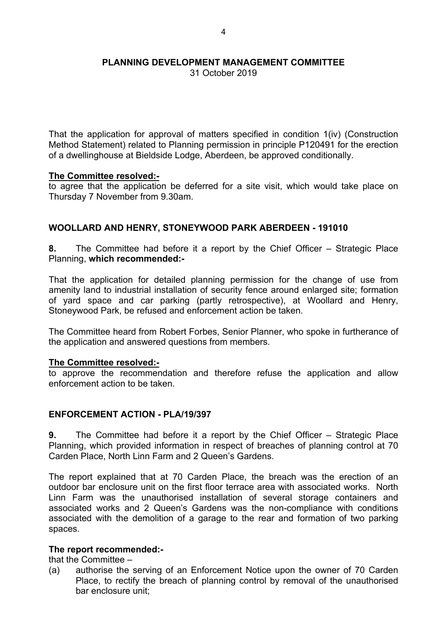31 October 2019

That the application for approval of matters specified in condition 1(iv) (Construction Method Statement) related to Planning permission in principle P120491 for the erection of a dwellinghouse at Bieldside Lodge, Aberdeen, be approved conditionally.

#### **The Committee resolved:-**

to agree that the application be deferred for a site visit, which would take place on Thursday 7 November from 9.30am.

### **WOOLLARD AND HENRY, STONEYWOOD PARK ABERDEEN - 191010**

**8.** The Committee had before it a report by the Chief Officer – Strategic Place Planning, **which recommended:-**

That the application for detailed planning permission for the change of use from amenity land to industrial installation of security fence around enlarged site; formation of yard space and car parking (partly retrospective), at Woollard and Henry, Stoneywood Park, be refused and enforcement action be taken.

The Committee heard from Robert Forbes, Senior Planner, who spoke in furtherance of the application and answered questions from members.

#### **The Committee resolved:-**

to approve the recommendation and therefore refuse the application and allow enforcement action to be taken.

### **ENFORCEMENT ACTION - PLA/19/397**

**9.** The Committee had before it a report by the Chief Officer – Strategic Place Planning, which provided information in respect of breaches of planning control at 70 Carden Place, North Linn Farm and 2 Queen's Gardens.

The report explained that at 70 Carden Place, the breach was the erection of an outdoor bar enclosure unit on the first floor terrace area with associated works. North Linn Farm was the unauthorised installation of several storage containers and associated works and 2 Queen's Gardens was the non-compliance with conditions associated with the demolition of a garage to the rear and formation of two parking spaces.

### **The report recommended:-**

that the Committee –

(a) authorise the serving of an Enforcement Notice upon the owner of 70 Carden Place, to rectify the breach of planning control by removal of the unauthorised bar enclosure unit;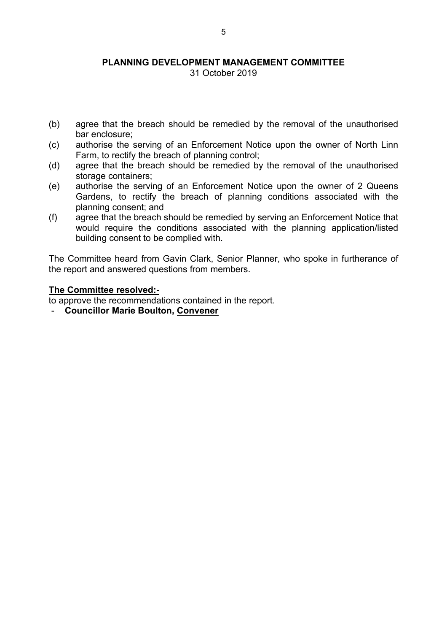31 October 2019

- (b) agree that the breach should be remedied by the removal of the unauthorised bar enclosure;
- (c) authorise the serving of an Enforcement Notice upon the owner of North Linn Farm, to rectify the breach of planning control;
- (d) agree that the breach should be remedied by the removal of the unauthorised storage containers;
- (e) authorise the serving of an Enforcement Notice upon the owner of 2 Queens Gardens, to rectify the breach of planning conditions associated with the planning consent; and
- (f) agree that the breach should be remedied by serving an Enforcement Notice that would require the conditions associated with the planning application/listed building consent to be complied with.

The Committee heard from Gavin Clark, Senior Planner, who spoke in furtherance of the report and answered questions from members.

#### **The Committee resolved:-**

to approve the recommendations contained in the report.

- **Councillor Marie Boulton, Convener**